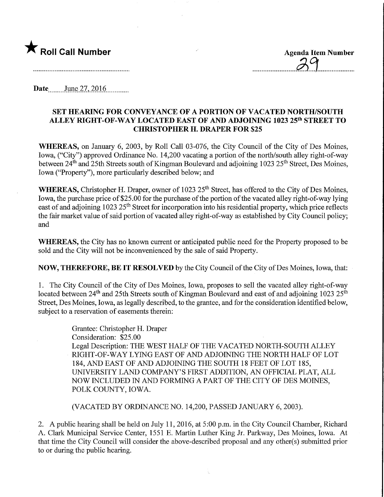

Date<sub>m</sub> June 27, 2016

## SET HEARING FOR CONVEYANCE OF A PORTION OF VACATED NORTH/SOUTH ALLEY RIGHT-OF-WAY LOCATED EAST OF AND ADJOINING 1023 25th STREET TO CHRISTOPHER H. DRAPER FOR \$25

WHEREAS, on January 6, 2003, by Roll Call 03-076, the City Council of the City of Des Moines, Iowa, ("City") approved Ordinance No. 14,200 vacating a portion of the north/south alley right-of-way between 24<sup>th</sup> and 25th Streets south of Kingman Boulevard and adjoining 1023 25<sup>th</sup> Street, Des Moines, Iowa ("Property"), more particularly described below; and

WHEREAS, Christopher H. Draper, owner of 1023 25<sup>th</sup> Street, has offered to the City of Des Moines, Iowa, the purchase price of \$25.00 for the purchase of the portion of the vacated alley right-of-way lying east of and adjoining 1023 25<sup>th</sup> Street for incorporation into his residential property, which price reflects the fair market value of said portion of vacated alley right-of-way as established by City Council policy; and

WHEREAS, the City has no known current or anticipated public need for the Property proposed to be sold and the City will not be inconvenienced by the sale of said Property.

NOW, THEREFORE, BE IT RESOLVED by the City Council of the City of Des Moines, Iowa, that:

1. The City Council of the City of Des Moines, Iowa, proposes to sell the vacated alley right-of-way located between 24<sup>th</sup> and 25th Streets south of Kingman Boulevard and east of and adjoining 1023 25<sup>th</sup> Street, Des Moines, Iowa, as legally described, to the grantee, and for the consideration identified below, subject to a reservation of easements therein:

> Grantee: Christopher H. Draper Consideration: \$25.00 Legal Description: THE WEST HALF OF THE VACATED NORTH-SOUTH ALLEY RIGHT-OF-WAY LYING EAST OF AND ADJOINING THE NORTH HALF OF LOT 184, AND EAST OF AND ADJOINING THE SOUTH 18 FEET OF LOT 185, UNIVERSITY LAND COMPANY'S FIRST ADDITION, AN OFFICIAL PLAT, ALL NOW INCLUDED IN AND FORMING A PART OF THE CITY OF DES MOINES, POLK COUNTY, IOWA.

(VACATED BY ORDINANCE NO. 14,200, PASSED JANUARY 6, 2003).

2. A public hearing shall be held on July 11, 2016, at 5:00 p.m. in the City Council Chamber, Richard A. Clark Municipal Service Center, 1551 E. Martin Luther King Jr. Parkway, Des Moines, Iowa. At that time the City Council will consider the above-described proposal and any other(s) submitted prior to or during the public hearing.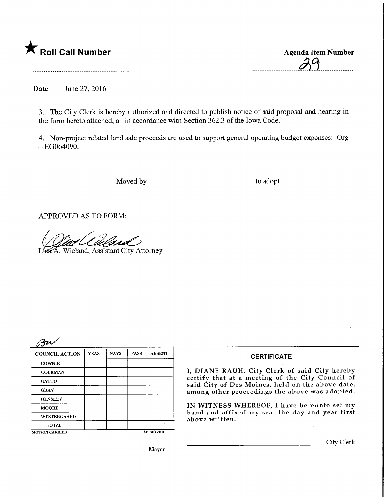## **T** Roll Call Number Agenda Item Number

Date June 27, 2016.

3. The City Clerk is hereby authorized and directed to publish notice of said proposal and hearing in the form hereto attached, all in accordance with Section 362.3 of the Iowa Code.

4. Non-project related land sale proceeds are used to support general operating budget expenses: Org  $-EG064090.$ 

Moved by to adopt.

APPROVED AS TO FORM:

1st A. Wieland, Assistant City Attorney

| <b>COUNCIL ACTION</b> | <b>YEAS</b> | <b>NAYS</b> | <b>PASS</b>     | <b>ABSENT</b> |  |
|-----------------------|-------------|-------------|-----------------|---------------|--|
| <b>COWNIE</b>         |             |             |                 |               |  |
| <b>COLEMAN</b>        |             |             |                 |               |  |
| <b>GATTO</b>          |             |             |                 |               |  |
| <b>GRAY</b>           |             |             |                 |               |  |
| <b>HENSLEY</b>        |             |             |                 |               |  |
| <b>MOORE</b>          |             |             |                 |               |  |
| WESTERGAARD           |             |             |                 |               |  |
| <b>TOTAL</b>          |             |             |                 |               |  |
| <b>MOTION CARRIED</b> |             |             | <b>APPROVED</b> |               |  |
|                       |             |             |                 | <b>Mayor</b>  |  |

## **CERTIFICATE**

I, DIANE RAUH, City Clerk of said City hereby certify that at a meeting of the City Council of said City of Des Moines, held on the above date, among other proceedings the above was adopted.

IN WITNESS WHEREOF, I have hereunto set my hand and affixed my seal the day and year first above written.

City Clerk